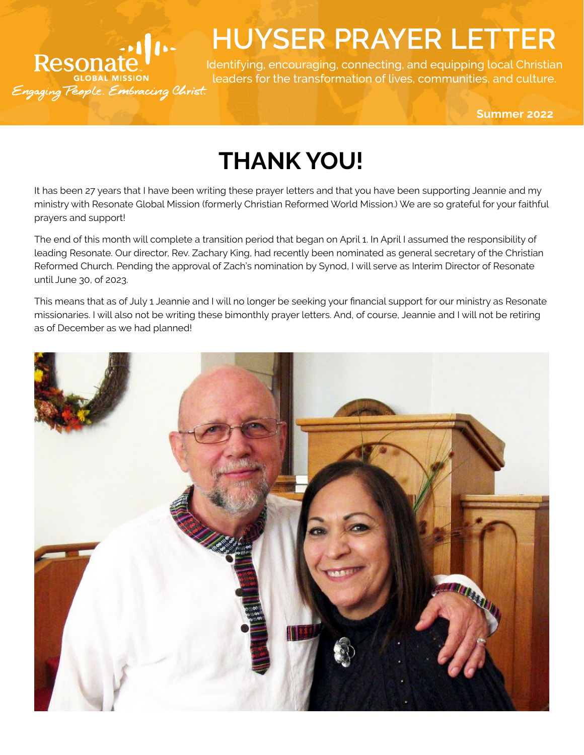## Resonate<br>Resonate<br>Agaging People. Embracing Christ.

## **HUYSER PRAYER LETTER**

Identifying, encouraging, connecting, and equipping local Christian leaders for the transformation of lives, communities, and culture.

**Summer 2022**

## **THANK YOU!**

It has been 27 years that I have been writing these prayer letters and that you have been supporting Jeannie and my ministry with Resonate Global Mission (formerly Christian Reformed World Mission.) We are so grateful for your faithful prayers and support!

The end of this month will complete a transition period that began on April 1. In April I assumed the responsibility of leading Resonate. Our director, Rev. Zachary King, had recently been nominated as general secretary of the Christian Reformed Church. Pending the approval of Zach's nomination by Synod, I will serve as Interim Director of Resonate until June 30, of 2023.

This means that as of July 1 Jeannie and I will no longer be seeking your financial support for our ministry as Resonate missionaries. I will also not be writing these bimonthly prayer letters. And, of course, Jeannie and I will not be retiring as of December as we had planned!